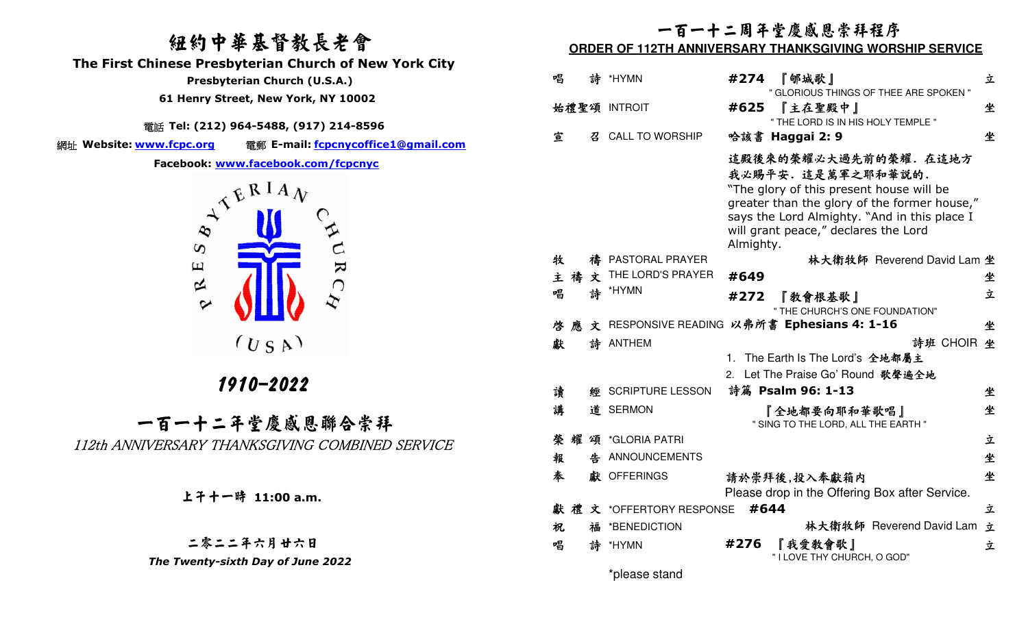## 紐約中華基督教長老會

 **The First Chinese Presbyterian Church of New York City** 

 **Presbyterian Church (U.S.A.)** 

 **61 Henry Street, New York, NY 10002**

電話 **Tel: (212) 964-5488, (917) 214-8596** 

網址 Website: www.fcpc.org

**Website: www.fcpc.org** 電郵 **E-mail: fcpcnycoffice1@gmail.com**

**Facebook: www.facebook.com/fcpcnyc**



## 1910-2022

一百一十二年堂慶感恩聯合崇拜112th ANNIVERSARY THANKSGIVING COMBINED SERVICE

上午十一時 **11:00 a.m.**

二零二二年六月廿六日 *The Twenty-sixth Day of June 2022* 

# 一百一十二周年堂慶感恩崇拜程序

#### **ORDER OF 112TH ANNIVERSARY THANKSGIVING WORSHIP SERVICE**

| 唱            |   |   | 詩 *HYMN                                               | 『郇城歌』<br>#274<br>" GLORIOUS THINGS OF THEE ARE SPOKEN "                                                                                                                                                                                    | 立 |  |  |  |
|--------------|---|---|-------------------------------------------------------|--------------------------------------------------------------------------------------------------------------------------------------------------------------------------------------------------------------------------------------------|---|--|--|--|
| 始禮聖頌 INTROIT |   |   | 『主在聖殿中』<br>#625<br>" THE LORD IS IN HIS HOLY TEMPLE " |                                                                                                                                                                                                                                            |   |  |  |  |
| 宣            |   | 召 | <b>CALL TO WORSHIP</b>                                | 哈該書 Haggai 2: 9                                                                                                                                                                                                                            | 坐 |  |  |  |
|              |   |   |                                                       | 這殿後來的榮耀必大過先前的榮耀。在這地方<br>我必賜平安.這是萬軍之耶和華説的.<br>"The glory of this present house will be<br>greater than the glory of the former house,"<br>says the Lord Almighty. "And in this place I<br>will grant peace," declares the Lord<br>Almighty. |   |  |  |  |
| 牧            |   |   | 禱 PASTORAL PRAYER                                     | 林大衛牧師 Reverend David Lam 坐                                                                                                                                                                                                                 |   |  |  |  |
| 主禧           |   | 文 | THE LORD'S PRAYER                                     | #649                                                                                                                                                                                                                                       | 坐 |  |  |  |
| 唱            |   |   | 詩 *HYMN                                               | #272<br>『敎會根基歌』                                                                                                                                                                                                                            | 立 |  |  |  |
|              |   |   |                                                       | " THE CHURCH'S ONE FOUNDATION"                                                                                                                                                                                                             |   |  |  |  |
| 啓            | 應 |   |                                                       | 文 RESPONSIVE READING 以弗所書 Ephesians 4: 1-16                                                                                                                                                                                                | 坐 |  |  |  |
| 獻            |   |   | 詩 ANTHEM                                              | 詩班 CHOIR                                                                                                                                                                                                                                   | 坐 |  |  |  |
|              |   |   |                                                       | The Earth Is The Lord's 全地都屬主<br>1.                                                                                                                                                                                                        |   |  |  |  |
|              |   |   |                                                       | Let The Praise Go' Round 歌聲遍全地<br>2.                                                                                                                                                                                                       |   |  |  |  |
| 讀            |   |   | 經 SCRIPTURE LESSON                                    | 詩篇 Psalm 96: 1-13                                                                                                                                                                                                                          | 坐 |  |  |  |
| 講            |   |   | 道 SERMON                                              | 『全地都要向耶和華歌唱』<br>" SING TO THE LORD, ALL THE EARTH "                                                                                                                                                                                        | 坐 |  |  |  |
| 榮            | 耀 |   | 頌 *GLORIA PATRI                                       |                                                                                                                                                                                                                                            | 立 |  |  |  |
| 報            |   |   | 告 ANNOUNCEMENTS                                       |                                                                                                                                                                                                                                            | 坐 |  |  |  |
| 奉            |   |   | 獻 OFFERINGS                                           | 請於崇拜後,投入奉獻箱内<br>Please drop in the Offering Box after Service.                                                                                                                                                                             | 坐 |  |  |  |
|              |   |   | 獻禮文 *OFFERTORY RESPONSE                               | #644                                                                                                                                                                                                                                       | 立 |  |  |  |
| 祝            |   |   | 福 *BENEDICTION                                        | 林大衛牧師 Reverend David Lam                                                                                                                                                                                                                   | 立 |  |  |  |
| 唱            |   |   | 詩 *HYMN                                               | 『我愛敎會歌』<br>#276<br>" I LOVE THY CHURCH, O GOD"                                                                                                                                                                                             | 立 |  |  |  |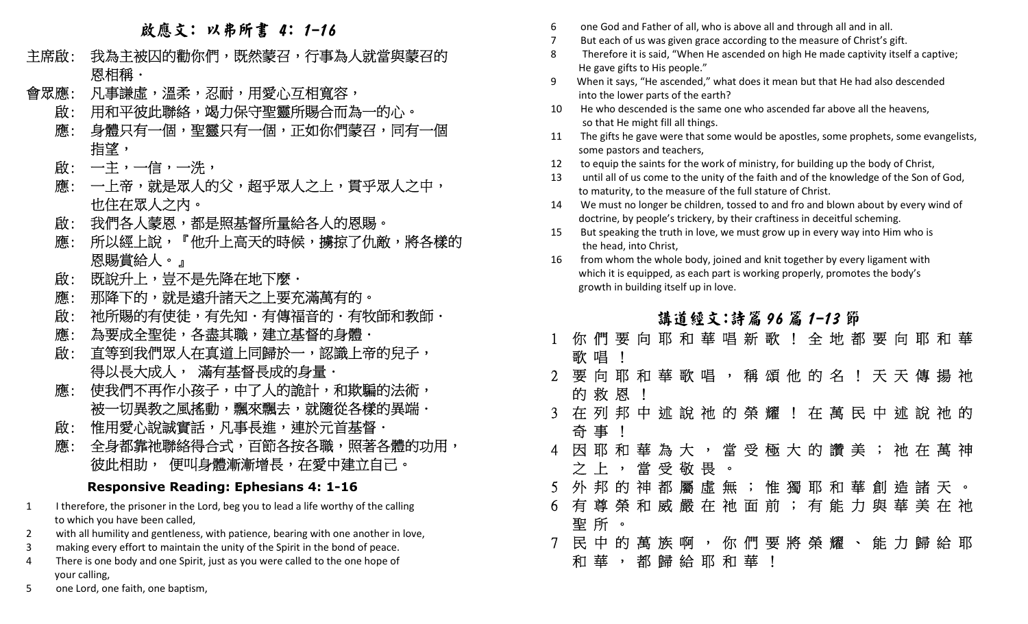## 啟應文: 以弗所書 4: 1-16

- 主席啟: 我 - - - - 恩相稱・ 為主被囚的勸你們,既然蒙召,行事為人就當與蒙召的
- 凡事謙虛,溫柔,忍耐,用愛心互相寬容, 會眾應: 凡
	- 用和平彼此聯絡,竭力保守聖靈所賜合而為一的心。 啟:
- 身體只有一個,聖靈只有一個,正如你們蒙召,同有一個。 應: そのことをおく 指望 ,
- 啟: 一主,一信,一洗,
- 一上帝,就是眾人的父,超乎眾人之上,實乎眾人之中, 應: 也住在眾人之內。
	- 我們各人蒙恩,都是照基督所量給各人的恩賜。 啟:
- 所以經上說,『他升上高天的時候,擄掠了仇敵,將各樣的 應: 恩賜賞給人。』
	- 既說升上,豈不是先降在地下麼. 啟:
	- 降下的,就是遠升諸天之上要充滿萬有的。 應: 那
	- 祂所賜的有使徒,有先知.有傳福音的.有牧師和教師. 啟:
	- 為要成全聖徒,各盡其職,建立基督的身體. 應:
- 直等到我們眾人在真道上同歸於一,認識上帝的兒子, 啟: 得以長大成人, 滿有基督長成的身量.
- 使我們不再作小孩子,中了人的詭計,和欺騙的法術, 應: 被一切異教之風搖動,飄來飄去,就隨從各樣的異端.
	- 惟用愛心說誠實話,凡事長進,連於元首基督. 啟:
- 全身都靠祂聯絡得合式,百節各按各職,照著各體的功用, 應: 彼此相助, 便叫身體漸漸增長,在愛中建立自己。

## **Responsive Reading: Ephesians 4: 1-16**

- 1 I therefore, the prisoner in the Lord, beg you to lead a life worthy of the calling to which you have been called,
- 2with all humility and gentleness, with patience, bearing with one another in love,
- 3making every effort to maintain the unity of the Spirit in the bond of peace.
- 4 There is one body and one Spirit, just as you were called to the one hope of your calling,
- 5one Lord, one faith, one baptism,
- 6one God and Father of all, who is above all and through all and in all.
- 7But each of us was given grace according to the measure of Christ's gift.<br>8 Therefore it is said. "When He ascended on high He made captivity itsel
- Therefore it is said, "When He ascended on high He made captivity itself a captive; He gave gifts to His people."
- 9 When it says, "He ascended," what does it mean but that He had also descended into the lower parts of the earth?
- 10 He who descended is the same one who ascended far above all the heavens, so that He might fill all things.
- 11 The gifts he gave were that some would be apostles, some prophets, some evangelists, some pastors and teachers,
- 12to equip the saints for the work of ministry, for building up the body of Christ,<br>13 until all of us come to the unity of the faith and of the knowledge of the Son o
- until all of us come to the unity of the faith and of the knowledge of the Son of God, to maturity, to the measure of the full stature of Christ.
- 14 We must no longer be children, tossed to and fro and blown about by every wind of doctrine, by people's trickery, by their craftiness in deceitful scheming.
- 15 But speaking the truth in love, we must grow up in every way into Him who is the head, into Christ,
- 16 from whom the whole body, joined and knit together by every ligament with which it is equipped, as each part is working properly, promotes the body's growth in building itself up in love.

## 講道經文:詩篇 96 篇 1-13 節

|             |                                         |     |      |  | 你 們 要 向 耶 和 華 唱 新 歌 ! 全 地 都 要 向 耶 和 華 |  |              |  |  |  |  |  |
|-------------|-----------------------------------------|-----|------|--|---------------------------------------|--|--------------|--|--|--|--|--|
|             | 歌 唱                                     |     |      |  |                                       |  |              |  |  |  |  |  |
| $2^{\circ}$ | 要 向 耶 和 華 歌 唱 , 稱 頌 他 的 名 ! 天 天 傳 揚 祂   |     |      |  |                                       |  |              |  |  |  |  |  |
|             |                                         |     | 的救恩! |  |                                       |  |              |  |  |  |  |  |
|             | 3 在 列 邦 中 述 說 祂 的 榮 耀 ! 在 萬 民 中 述 說 祂 的 |     |      |  |                                       |  |              |  |  |  |  |  |
|             |                                         | 奇 事 |      |  |                                       |  |              |  |  |  |  |  |
|             | 4 因 耶 和 華 為 大 , 當 受 極 大 的 讚 美 ; 祂 在 萬 神 |     |      |  |                                       |  |              |  |  |  |  |  |
|             |                                         |     |      |  | 之上,當受敬畏。                              |  |              |  |  |  |  |  |
| $5^{\circ}$ |                                         |     |      |  | 外 邦 的 神 都 屬 虛 無 ; 惟 獨 耶 和 華 創 造 諸 天 。 |  |              |  |  |  |  |  |
| 6.          |                                         |     |      |  | 有 尊 榮 和 威 嚴 在 祂 面 前 ; 有 能 力 與 華 美 在 祂 |  |              |  |  |  |  |  |
|             |                                         | 聖所。 |      |  |                                       |  |              |  |  |  |  |  |
|             |                                         |     |      |  | 民 中 的 萬 族 啊 , 你 們 要 將 榮 耀 、 能 力 歸 給 耶 |  |              |  |  |  |  |  |
|             |                                         |     |      |  | 和 華 , 都 歸 給 耶 和 華                     |  | $\mathbf{I}$ |  |  |  |  |  |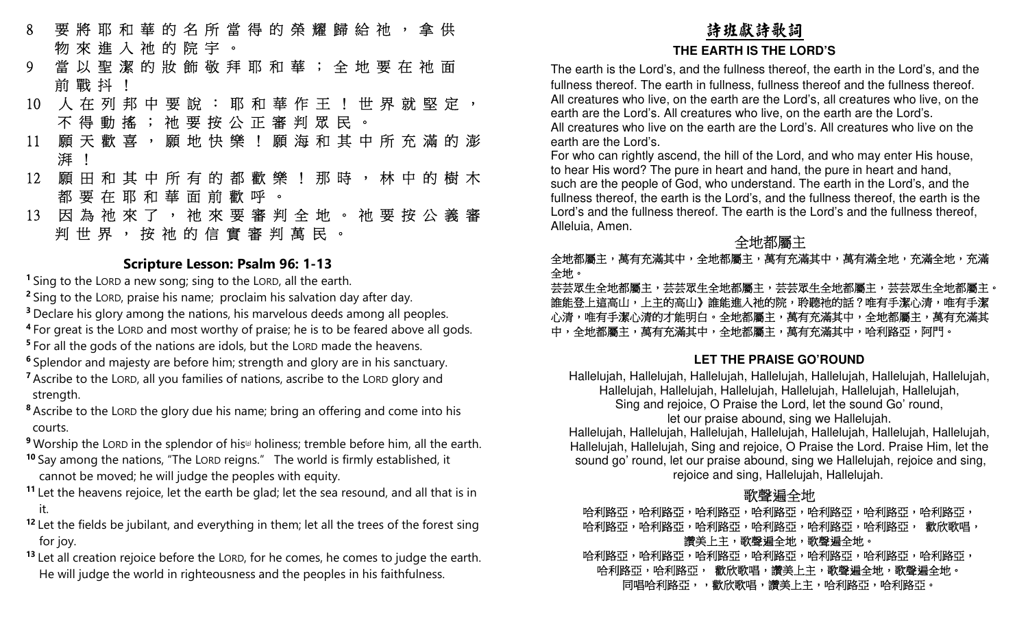- 8 要 將 耶 和 華 的 名 所 當 得 的 榮 耀 歸 給 祂 , 拿 供 物 來 進 入 祂 的 院 宇 。
- 當 以 聖 潔 的 妝 飾 敬 拜 耶 和 華 ; 全 地 要 在 祂 面 9前 戰 抖 !
- 人 在 列 邦 中 要 說 : 耶 和 華 作 王 ! 世 界 就 堅 定 , 10 不得動搖;祂要按公正審判眾民。
- 願 天 歡 喜 , 願 地 快 樂 ! 願 海 和 其 中 所 充 滿 的 澎 11 湃 !
- 願 田 和 其 中 所 有 的 都 歡 樂 ! 那 時 , 林 中 的 樹 木 12 都 要 在 耶 和 華 面 前 歡 呼 。
- 因 為 祂 來 了 , 祂 來 要 審 判 全 地 。 祂 要 按 公 義 審 13 判世界, 按祂的信實審判萬民。

### **Scripture Lesson: Psalm 96: 1-13**

**<sup>1</sup>**Sing to the LORD a new song; sing to the LORD, all the earth.

- **<sup>2</sup>**Sing to the LORD, praise his name; proclaim his salvation day after day.
- **<sup>3</sup>**Declare his glory among the nations, his marvelous deeds among all peoples.
- **<sup>4</sup>**For great is the LORD and most worthy of praise; he is to be feared above all gods.
- **<sup>5</sup>**For all the gods of the nations are idols, but the LORD made the heavens.
- **<sup>6</sup>**Splendor and majesty are before him; strength and glory are in his sanctuary.
- **<sup>7</sup>**Ascribe to the LORD, all you families of nations, ascribe to the LORD glory and strength.
- **<sup>8</sup>**Ascribe to the LORD the glory due his name; bring an offering and come into his courts.
- **<sup>9</sup> Worship the LORD in the splendor of his<sup>[a]</sup> holiness; tremble before him, all the earth.**
- **<sup>10</sup>**Say among the nations, "The LORD reigns." The world is firmly established, it cannot be moved; he will judge the peoples with equity.
- **<sup>11</sup>**Let the heavens rejoice, let the earth be glad; let the sea resound, and all that is in it.
- **<sup>12</sup>**Let the fields be jubilant, and everything in them; let all the trees of the forest sing for joy.
- **<sup>13</sup>**Let all creation rejoice before the LORD, for he comes, he comes to judge the earth. He will judge the world in righteousness and the peoples in his faithfulness.

## 詩班獻詩歌詞**THE EARTH IS THE LORD'S**

 The earth is the Lord's, and the fullness thereof, the earth in the Lord's, and the fullness thereof. The earth in fullness, fullness thereof and the fullness thereof. All creatures who live, on the earth are the Lord's, all creatures who live, on the earth are the Lord's. All creatures who live, on the earth are the Lord's. All creatures who live on the earth are the Lord's. All creatures who live on the earth are the Lord's.

 For who can rightly ascend, the hill of the Lord, and who may enter His house, to hear His word? The pure in heart and hand, the pure in heart and hand, such are the people of God, who understand. The earth in the Lord's, and the fullness thereof, the earth is the Lord's, and the fullness thereof, the earth is the Lord's and the fullness thereof. The earth is the Lord's and the fullness thereof, Alleluia, Amen.

#### 一个人 医心包 医心包 医心包 全 地都屬主

 全地都屬主,萬有充滿其中,全地都屬主,萬有充滿其中,萬有滿全地,充滿全地,充滿 全地。

芸芸眾生全地都屬主,芸芸眾生全地都屬主,芸芸眾生全地都屬主。 誰能登上這高山,上主的高山》誰能進入祂的院,聆聽祂的話?唯有手潔心清有事事事。 心清,唯有手潔心清的才能明白。全地都屬主,萬有充滿其中,全地都屬主,萬有充滿其 中,全地都屬主,萬有充滿其中,全地都屬主,萬有充滿其中,哈利路亞,阿門。

## **LET THE PRAISE GO'ROUND**

Hallelujah, Hallelujah, Hallelujah, Hallelujah, Hallelujah, Hallelujah, Hallelujah, Hallelujah, Hallelujah, Hallelujah, Hallelujah, Hallelujah, Hallelujah,

Sing and rejoice, O Praise the Lord, let the sound Go' round,

let our praise abound, sing we Hallelujah.

 Hallelujah, Hallelujah, Hallelujah, Hallelujah, Hallelujah, Hallelujah, Hallelujah, Hallelujah, Hallelujah, Sing and rejoice, O Praise the Lord. Praise Him, let the sound go' round, let our praise abound, sing we Hallelujah, rejoice and sing, rejoice and sing, Hallelujah, Hallelujah.

## 歌聲遍全地

哈利路亞,哈利路亞,哈利路亞,哈利路亞,哈利路亞,哈利路亞, 哈利路亞,哈利路亞,哈利路亞,哈利路亞,哈利路亞, 歡欣歌唱, 讚美上主,歌聲遍全地。

哈利路亞,哈利路亞,哈利路亞,哈利路亞,哈利路亞,哈利路亞, 哈利路亞,哈利路亞, 歡欣歌唱,讚美上主,歌聲遍全地,歌聲遍全地。 同唱哈利路亞,,歡欣歌唱,讚美上主,哈利路亞,哈利路亞。」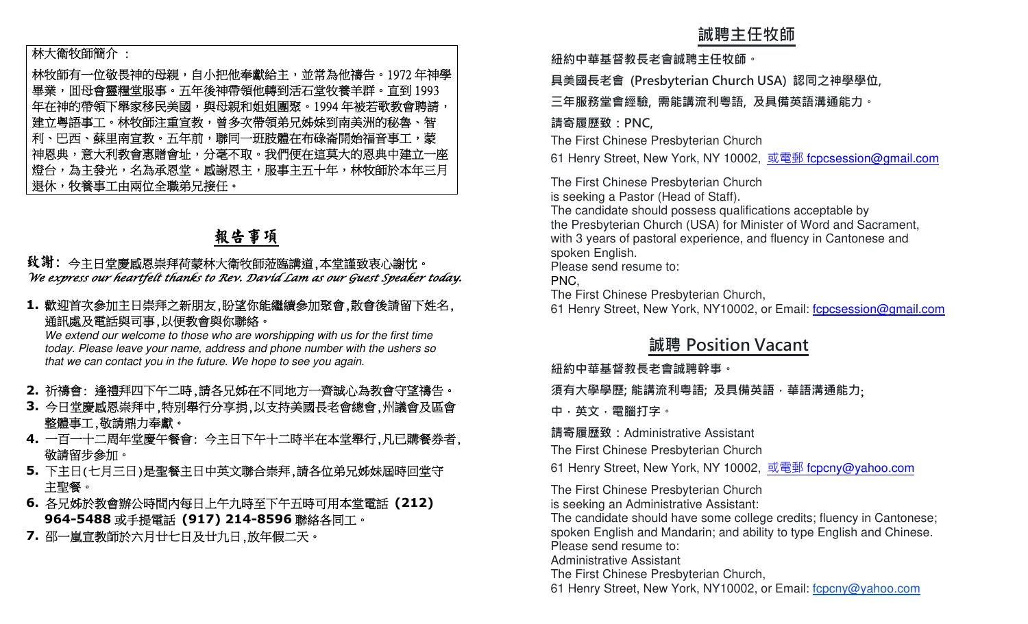### 林大衛牧師簡介 :

林牧師有一位敬畏神的母親,自小把他奉獻給主,並常為他禱告。1972年神學 畢業,囬母會靈糧堂服事。五年後神帶領他轉到活石堂牧養羊群。直到 1993<br>年左神的帶領下與宮移民美國,與丹朝和根周國堅。1004 年被芙歌教命聘持 年在神的帶領下舉家移民美國,與母親和姐姐團聚。1994 年被若歌教會聘請, 建立粵語事工。林牧師注重宣教,曾多次帶領弟兄姊妹到南美洲的秘魯、智 利、巴西、蘇里南宣教。五年前,聯同一班肢體在布碌崙開始福音事工,蒙一 神恩典,意大利教會惠贈會址,分毫不取。我們便在這莫大的恩典中建立一座 燈台,為主發光,名為承恩堂。感謝恩主,服事主五十年,林牧師於本年三月 退休,牧養事工由兩位全職弟兄接任。**誠聘主任牧師 紐約中華基督教⻑老會誠聘主任牧師。 具美國⻑老會 (Presbyterian Church USA) 認同之神學學位, 三年服務堂會經驗, 需能講流利粵語, 及具備英語溝通能力。 請寄履歷致:PNC,** The First Chinese Presbyterian Church 61 Henry Street, New York, NY 10002, 或電郵 fcpcsession@gmail.com The First Chinese Presbyterian Church is seeking a Pastor (Head of Staff). The candidate should possess qualifications acceptable by the Presbyterian Church (USA) for Minister of Word and Sacrament, with 3 years of pastoral experience, and fluency in Cantonese and spoken English. Please send resume to: PNC, The First Chinese Presbyterian Church, 61 Henry Street, New York, NY10002, or Email: fcpcsession@gmail.com **誠聘 Position Vacant 紐約中華基督教⻑老會誠聘幹事。 須有大學學歷; 能講流利粵語; 及具備英語,華語溝通能力**; **中,英文,電腦打字。 請寄履歷致:**Administrative Assistant The First Chinese Presbyterian Church 61 Henry Street, New York, NY 10002, 或電郵 fcpcny@yahoo.com The First Chinese Presbyterian Church is seeking an Administrative Assistant: The candidate should have some college credits; fluency in Cantonese; spoken English and Mandarin; and ability to type English and Chinese. Please send resume to: Administrative Assistant The First Chinese Presbyterian Church, 61 Henry Street, New York, NY10002, or Email: fcpcny@yahoo.com

## 報告事項

## 纹 謝: 今主日堂慶感恩崇拜荷蒙林大衛牧師蒞臨講道,本堂謹致衷心謝忱。 We express our heartfelt thanks to Rev. David Lam as our Guest Speaker today.

**1.**歡迎首次參加主日崇拜之新朋友,盼望你能繼續參加聚會,散會後請留下姓名, 通訊處及電話與司事,以便教會與你聯絡。

 We extend our welcome to those who are worshipping with us for the first time today. Please leave your name, address and phone number with the ushers so that we can contact you in the future. We hope to see you again.

- **2.** 祈禱會: 逢禮拜四下午二時,請各兄姊在不同地方一齊誠心為教會守望禱告。
- **3.** 今日堂慶感恩崇拜中,特別舉行分享捐,以支持美國長老會總會,州議會及區會 整體事工,敬請鼎力奉獻。
- **4.**一百一十二周年堂慶午餐會: 今主日下午十二時半在本堂舉行,凡已購餐券者, 敬請留步參加。
- **5.** 下主日(七月三日)是聖餐主日中英文聯合崇拜,請各位弟兄姊妹屆時回堂守 主聖餐。
- **6.** 各兄姊於教會辦公時間內每日上午九時至下午五時可用本堂電話 **(212) 964-5488**或手提電話 **(917) 214-8596**聯絡各同工。
- **7.** 邵一嵐宣教師於六月廿七日及廿九日,放年假二天。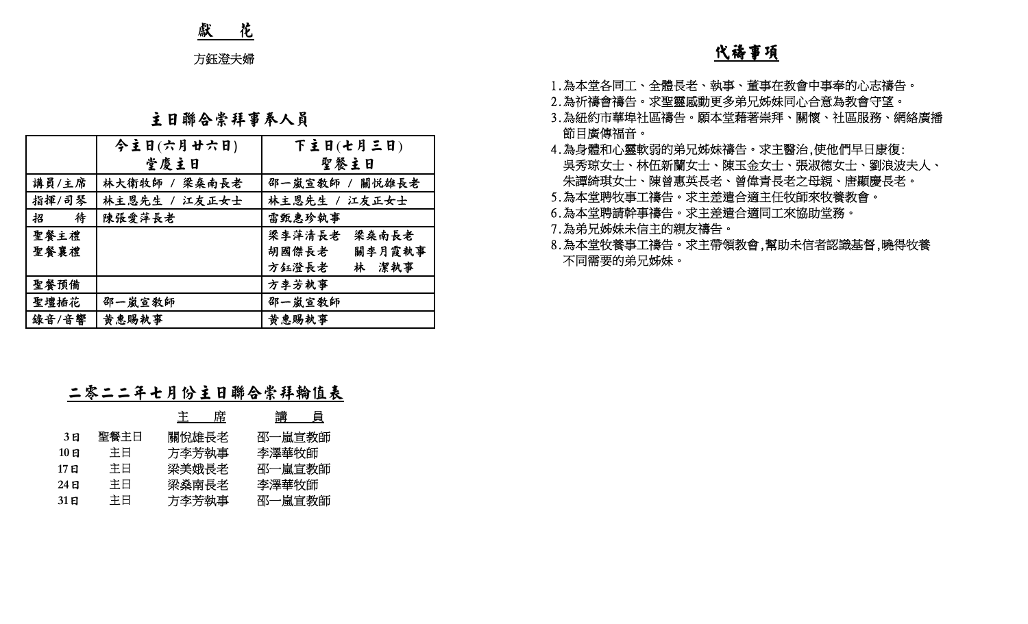## 獻 花

## 主日聯合崇拜事奉人員

|                                          | 方鈺澄夫婦                                                                                    |                                                                                                      | <u>代禱事項</u>                                                                                                                                                                                                                                         |
|------------------------------------------|------------------------------------------------------------------------------------------|------------------------------------------------------------------------------------------------------|-----------------------------------------------------------------------------------------------------------------------------------------------------------------------------------------------------------------------------------------------------|
|                                          | 主日聯合崇拜事奉人員                                                                               |                                                                                                      | 1.為本堂各同工、全體長老、執事、董事在教會中事奉的心志禱告。<br>2.為祈禱會禱告。求聖靈感動更多弟兄姊妹同心合意為教會守望。<br>3.為紐約市華埠社區禱告。願本堂藉著崇拜、關懷、社區服務、網絡廣播                                                                                                                                              |
| 講員/主席<br>指揮/司琴<br>待<br>招<br>聖餐主禮<br>聖餐襄禮 | 今主日(六月廿六日)<br>堂慶主日<br>林大衛牧師 / 梁桑南長老<br>林主恩先生 / 江友正女士<br>陳張愛萍長老                           | 下主日(七月三日)<br>聖餐主日<br>邵一嵐宣教師 / 關悦雄長老<br>林主恩先生 / 江友正女士<br>雷甄惠珍執事<br>梁李萍清長老<br>梁桑南長老<br>關李月霞執事<br>胡國傑長老 | 節目廣傳福音。<br>4.為身體和心靈軟弱的弟兄姊妹禱告。求主醫治,使他們早日康復:<br>吳秀琼女士、林伍新蘭女士、陳玉金女士、張淑德女士、劉浪波夫人、<br>朱譚綺琪女士、陳曾惠英長老、曾偉青長老之母親、唐顯慶長老。<br>5.為本堂聘牧事工禱告。求主差遣合適主任牧師來牧養教會。<br>6.為本堂聘請幹事禱告。求主差遣合適同工來協助堂務。<br>7.為弟兄姊妹未信主的親友禱告。<br>8.為本堂牧養事工禱告。求主帶領教會,幫助未信者認識基督,曉得牧養<br>不同需要的弟兄姊妹。 |
| 聖餐預備<br>聖壇插花<br>錄音/音響                    | 邵一嵐宣教師<br>黄惠賜執事                                                                          | 林 潔執事<br>方鈺澄長老<br>方李芳執事<br>邵一嵐宣教師<br>黄惠賜執事                                                           |                                                                                                                                                                                                                                                     |
|                                          | 二零二二年七月份主日聯合崇拜輪值表                                                                        |                                                                                                      |                                                                                                                                                                                                                                                     |
| 3E<br>$10$ 日<br>17日<br>$24$ 日<br>31E     | <u>主  席</u><br>關悅雄長老<br>聖餐主日<br>方李芳執事<br>主日<br>主日<br>梁美娥長老<br>主日<br>梁燊南長老<br>主日<br>方李芳執事 | 講 員<br>邵一嵐宣教師<br>李澤華牧師<br>邵一嵐宣教師<br>李澤華牧師<br>邵一嵐宣教師                                                  |                                                                                                                                                                                                                                                     |

## 二零二二年七月份主日聯合崇拜輪值表

|       |      | 席<br>王 | 講<br>貝 |
|-------|------|--------|--------|
| 3 E   | 聖餐主日 | 關悅雄長老  | 邵一嵐宣教師 |
| 10日   | 主日   | 方李芳執事  | 李澤華牧師  |
| 17 E  | 主日   | 梁美娥長老  | 邵一嵐宣教師 |
| 24 E  | 主日   | 梁燊南長老  | 李澤華牧師  |
| 31 El | 主日   | 方李芳執事  | 邵一嵐宣教師 |

- 
- 
- 
- 
- 
- 
- 
-